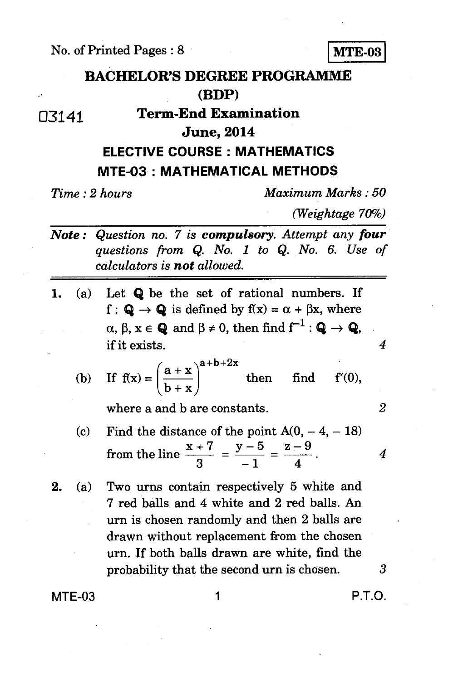No. of Printed Pages : 8 **MTE-03** 



## 03141 **Term-End Examination**

## **June, 2014**

## **ELECTIVE COURSE : MATHEMATICS MTE-03 : MATHEMATICAL METHODS**

*Time : 2 hours Maximum Marks : 50* 

*(Weightage 70%)* 

- *Note : Question no. 7 is compulsory. Attempt any four questions from Q. No. 1 to Q. No. 6. Use of calculators is not allowed.*
- *1. (a)* Let **Q** be the set of rational numbers. If f :  $\mathbf{Q} \rightarrow \mathbf{Q}$  is defined by  $f(x) = \alpha + \beta x$ , where  $\alpha$ ,  $\beta$ ,  $x \in \mathbf{Q}$  and  $\beta \neq 0$ , then find  $f^{-1} : \mathbf{Q} \to \mathbf{Q}$ , if it exists.

(b) If 
$$
f(x) = \left(\frac{a+x}{b+x}\right)^{a+b+2x}
$$
 then find  $f'(0)$ ,

where a and b are constants.

- $\frac{1}{3}$  =  $\frac{5}{-1}$  =  $\frac{1}{4}$ (c) Find the distance of the point  $A(0, -4, -18)$ from the line  $\frac{x+7}{-} - \frac{y-5}{-} = \frac{z-9}{-}$
- **2.** (a) Two urns contain respectively 5 white and 7 red balls and 4 white and 2 red balls. An urn is chosen randomly and then 2 balls are drawn without replacement from the chosen urn. If both balls drawn are white, find the probability that the second urn is chosen.  $3$

**MTE-03** 1 **P.T.O.** 

*2* 

*4*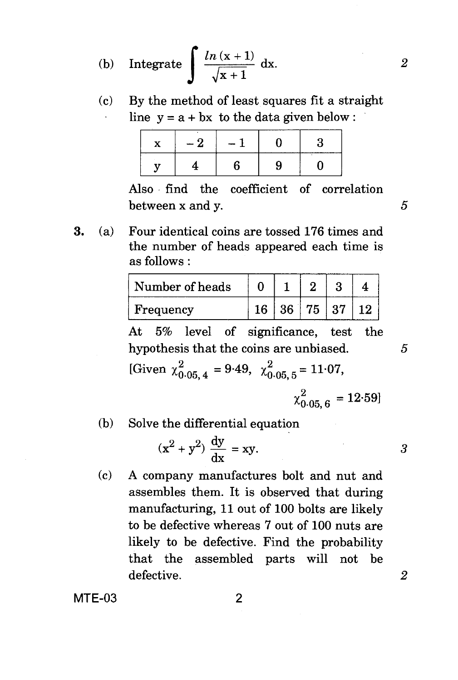(b) Integrate

$$
\int \frac{\ln(x+1)}{\sqrt{x+1}} \, \mathrm{d}x. \tag{2}
$$

By the method of least squares fit a straight (c) line  $y = a + bx$  to the data given below :  $\mathcal{L}^{\pm}$ 

Also find the coefficient of correlation between  $x$  and  $y$ .  $5$ 

3. (a) Four identical coins are tossed 176 times and the number of heads appeared each time is as follows :

| Number of heads |                     |  |  |
|-----------------|---------------------|--|--|
| Frequency       | $16$   36   75   37 |  |  |

At 5% level of significance, test the hypothesis that the coins are unbiased.  $5$ 

[Given  $\chi_{0.05, 4}^2 = 9.49, \chi_{0.05, 5}^2 = 11.07$ ,

$$
\chi_{0.05,6}^2 = 12.59
$$

(b) Solve the differential equation

$$
(x2 + y2) \frac{dy}{dx} = xy.
$$

(c) A company manufactures bolt and nut and assembles them. It is observed that during manufacturing, 11 out of 100 bolts are likely to be defective whereas 7 out of 100 nuts are likely to be defective. Find the probability that the assembled parts will not be defective. *2* 

MTE-03 2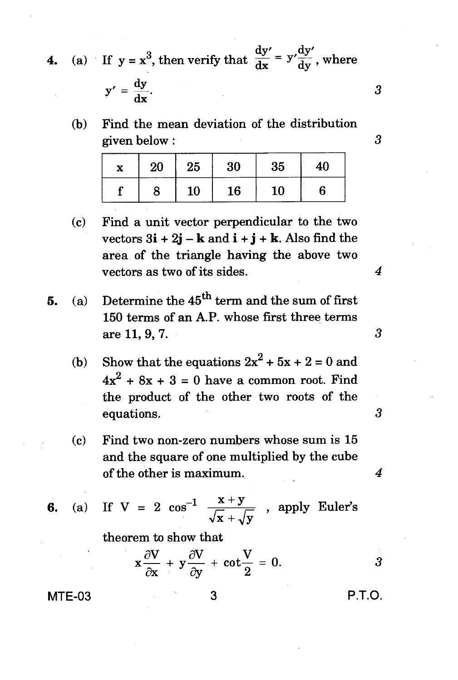**4.** (a) If  $y = x^3$ , then verify that  $\frac{dy'}{dx} = y' \frac{dy'}{dy}$ , where

$$
y' = \frac{dy}{dx}.
$$

(b) Find the mean deviation of the distribution given below : 3

| X | 20 | 25 | 30     | 35 | 40 |
|---|----|----|--------|----|----|
|   | 8  | 10 | $16\,$ | 10 | 6  |

- (c) Find a unit vector perpendicular to the two vectors  $3\mathbf{i} + 2\mathbf{j} - \mathbf{k}$  and  $\mathbf{i} + \mathbf{j} + \mathbf{k}$ . Also find the area of the triangle having the above two vectors as two of its sides.
- **5.** (a) Determine the  $45^{\text{th}}$  term and the sum of first 150 terms of an A.P. whose first three terms are 11, 9, 7.
	- (b) Show that the equations  $2x^2 + 5x + 2 = 0$  and  $4x<sup>2</sup> + 8x + 3 = 0$  have a common root. Find the product of the other two roots of the equations.
	- (c) Find two non-zero numbers whose sum is 15 and the square of one multiplied by the cube of the other is maximum.

**6.** (a) If  $V = 2 \cos^{-1} \frac{x}{\sqrt{x}}$  $\stackrel{\text{A}}{=}$  $+$ , apply Euler's  $\sqrt{y}$ 

theorem to show that

$$
x\frac{\partial V}{\partial x} + y\frac{\partial V}{\partial y} + \cot\frac{V}{2} = 0.
$$
 3

MTE-03 3 P.T.O.

*4* 

*3* 

3

 $\overline{4}$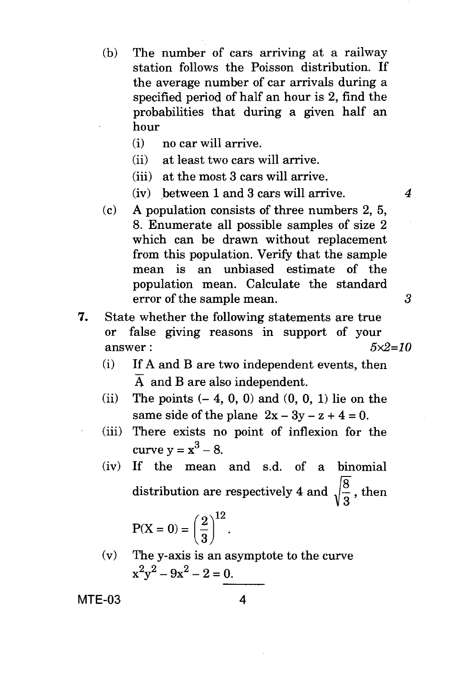- (b) The number of cars arriving at a railway station follows the Poisson distribution. If the average number of car arrivals during a specified period of half an hour is 2, find the probabilities that during a given half an hour
	- (i) no car will arrive.
	- (ii) at least two cars will arrive.
	- (iii) at the most 3 cars will arrive.
	- (iv) between 1 and 3 cars will arrive. *4*
- (c) A population consists of three numbers 2, 5, 8. Enumerate all possible samples of size 2 which can be drawn without replacement from this population. Verify that the sample mean is an unbiased estimate of the population mean. Calculate the standard error of the sample mean. 3
- *7.* State whether the following statements are true or false giving reasons in support of your answer : *5x2=10* 
	- (i) If A and B are two independent events, then  $\overline{A}$  and B are also independent.
	- (ii) The points  $(-4, 0, 0)$  and  $(0, 0, 1)$  lie on the same side of the plane  $2x - 3y - z + 4 = 0$ .
	- (iii) There exists no point of inflexion for the curve  $y = x^3 - 8$ .
	- (iv) If the mean and s.d. of a binomial distribution are respectively 4 and  $\sqrt{\frac{8}{3}}$ , then

$$
P(X=0) = \left(\frac{2}{3}\right)^{12}.
$$

(v) The y-axis is an asymptote to the curve  $x^2y^2 - 9x^2 - 2 = 0.$ 

MTE-03 4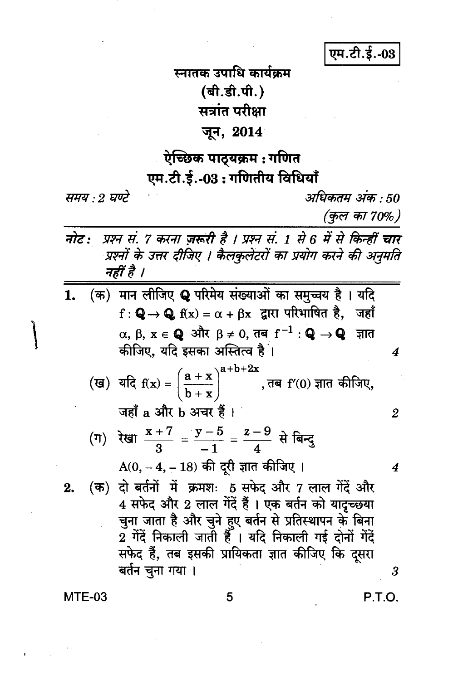एम.टी.ई.-03

स्नातक उपाधि कार्यकम (बी.डी.पी.) सत्रांत परीक्षा जून, 2014

## ऐच्छिक पाठ्यक्रम : गणित एम.टी.ई.-03: गणितीय विधियाँ

समय : 2 घण्टे

अधिकतम अंक • 50

(कुल का 70%)

4

2

 $\boldsymbol{4}$ 

- प्रश्न सं. 7 करना ज़रूरी है । प्रश्न सं. 1 से 6 में से किन्हीं चार नोट : प्रश्नों के उत्तर दीजिए । कैलकुलेटरों का प्रयोग करने की अनुमति नहीं है ।
- (क) मान लीजिए Q परिमेय संख्याओं का समुच्चय है। यदि 1.  $f: Q \rightarrow Q$   $f(x) = \alpha + \beta x$  द्वारा परिभाषित है, जहाँ  $\alpha$ , β, x ∈ **Q** और β ≠ 0, तब f<sup>-1</sup> : **Q** → **Q** ज्ञात कीजिए, यदि इसका अस्तित्व है<sup>ं</sup>।
	- (ख) यदि  $f(x) = \left(\frac{a+x}{b+x}\right)^{a+b+2x}$ , तब  $f'(0)$  ज्ञात कीजिए, जहाँ a और b अचर हैं।
	- (ग) रेखा  $\frac{x+7}{3} = \frac{y-5}{1} = \frac{z-9}{4}$  से बिन्दु  $A(0, -4, -18)$  की दूरी ज्ञात कीजिए ।
- (क) दो बर्तनों में क्रमशः 5 सफेद और 7 लाल गेंदें और  $2.$ 4 सफेद और 2 लाल गेंदें हैं । एक बर्तन को यादृच्छया चुना जाता है और चुने हुए बर्तन से प्रतिस्थापन के बिना 2 गेंदें निकाली जाती हैँ । यदि निकाली गई दोनों गेंदें सफेद हैं, तब इसकी प्रायिकता ज्ञात कीजिए कि दसरा बर्तन चुना गया ।

**MTE-03** 

P.T.O.

 $\boldsymbol{\beta}$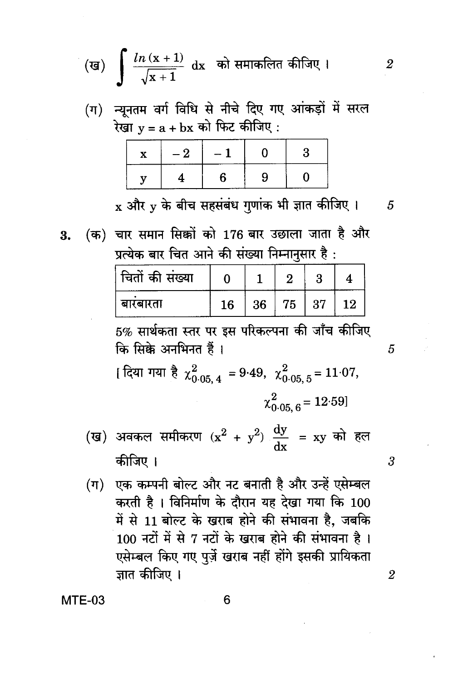(ख) 
$$
\int \frac{\ln(x+1)}{\sqrt{x+1}} dx
$$
 को समाकलित कीजिए ।

(ग) न्यूनतम वर्ग विधि से नीचे दिए गए आंकड़ों में सरल रेखा  $y = a + bx$  को फिट कीजिए:

| . .<br>- 2 | $\overline{\phantom{0}}$ |  |
|------------|--------------------------|--|
|            |                          |  |

 $\boldsymbol{\mathrm{x}}$  और  $\boldsymbol{\mathrm{v}}$  के बीच सहसंबंध गुणांक भी ज्ञात कीजिए । 5

 $\overline{2}$ 

5

3

 $\overline{2}$ 

(क) चार समान सिक्कों को 176 बार उछाला जाता है और 3. प्रत्येक बार चित आने की संख्या निम्नानुसार है:

| चितों की संख्या |    |    | ິ  |    |    |
|-----------------|----|----|----|----|----|
| बारबारता        | 16 | 36 | 75 | 37 | 12 |

5% सार्थकता स्तर पर इस परिकल्पना की जाँच कीजिए कि सिक्के अनभिनत हैं।

[ दिया गया है  $\chi^{2}_{0.05,4}$  = 9.49,  $\chi^{2}_{0.05,5}$  = 11.07,  $\chi^{2}_{0.05-6}$  = 12.59]

- (ख) अवकल समीकरण  $(x^2 + y^2) \frac{dy}{dx} = xy$  को हल कीजिए ।
- (ग) एक कम्पनी बोल्ट और नट बनाती है और उन्हें एसेम्बल करती है। विनिर्माण के दौरान यह देखा गया कि 100 में से 11 बोल्ट के खराब होने की संभावना है, जबकि 100 नटों में से 7 नटों के खराब होने की संभावना है। एसेम्बल किए गए पुर्ज़े खराब नहीं होंगे इसकी प्रायिकता ज्ञात कीजिए ।

 $MTE-03$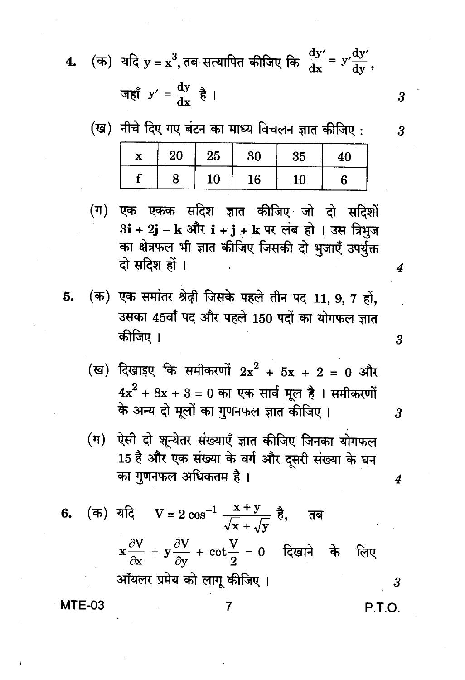(क) यदि  $y = x^3$ , तब सत्यापित कीजिए कि  $\frac{dy'}{dx} = y' \frac{dy'}{dy}$ ,  $\overline{\mathbf{4}}$ .

जहाँ 
$$
y' = \frac{dy}{dx} \frac{a}{b}
$$

(ख) नीचे दिए गए बंटन का माध्य विचलन ज्ञात कीजिए: 20 25 30 35  $\overline{\mathbf{x}}$ 40 f 8 10 16 6 10

एक एकक सदिश ज्ञात कीजिए जो दो सदिशों  $(\overline{\mu})$ 3i + 2j - k और i + j + k पर लंब हो । उस त्रिभुज का क्षेत्रफल भी ज्ञात कीजिए जिसकी दो भूजाएँ उपर्युक्त दो सदिश हों ।

- (क) एक समांतर श्रेढ़ी जिसके पहले तीन पद 11, 9, 7 हों, 5. उसका 45वाँ पद और पहले 150 पदों का योगफल ज्ञात कीजिए ।
	- (ख) दिखाइए कि समीकरणों  $2x^2 + 5x + 2 = 0$  और  $4x^2 + 8x + 3 = 0$  का एक सार्व मूल है। समीकरणों के अन्य दो मूलों का गुणनफल ज्ञात कीजिए।
	- (ग) ऐसी दो शून्येतर संख्याएँ ज्ञात कीजिए जिनका योगफल 15 है और एक संख्या के वर्ग और दूसरी संख्या के घन का गुणनफल अधिकतम है।

**6.** (क) यदि 
$$
V = 2 \cos^{-1} \frac{x+y}{\sqrt{x} + \sqrt{y}}
$$
 है, तब  
 $x \frac{\partial V}{\partial x} + y \frac{\partial V}{\partial y} + \cot \frac{V}{2} = 0$  दिखाने के लिए  
ऑयलर प्रमेय को लागू कीजिए 1

7

MTE-03

P.T.O.

3

4

3

3

4

3